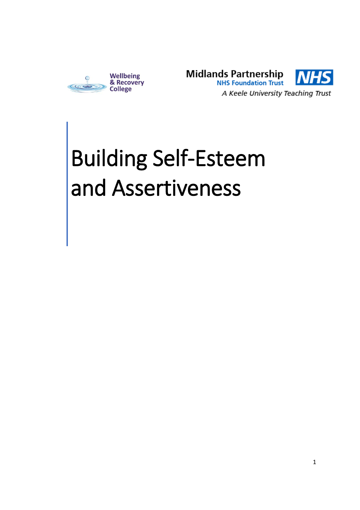



# Building Self-Esteem and Assertiveness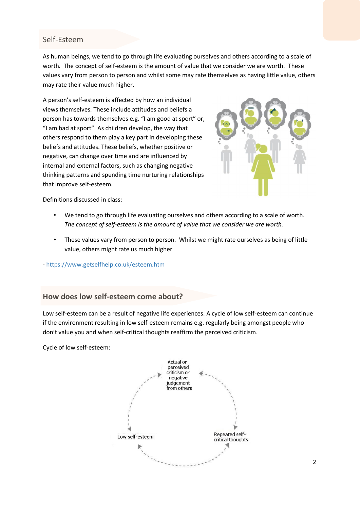### Self-Esteem

As human beings, we tend to go through life evaluating ourselves and others according to a scale of worth*.* The concept of self-esteem is the amount of value that we consider we are worth.These values vary from person to person and whilst some may rate themselves as having little value, others may rate their value much higher.

A person's self-esteem is affected by how an individual views themselves. These include attitudes and beliefs a person has towards themselves e.g. "I am good at sport" or, "I am bad at sport". As children develop, the way that others respond to them play a key part in developing these beliefs and attitudes. These beliefs, whether positive or negative, can change over time and are influenced by internal and external factors, such as changing negative thinking patterns and spending time nurturing relationships that improve self-esteem.



Definitions discussed in class:

- We tend to go through life evaluating ourselves and others according to a scale of worth*. The concept of self-esteem is the amount of value that we consider we are worth.*
- These values vary from person to person. Whilst we might rate ourselves as being of little value, others might rate us much higher
- <https://www.getselfhelp.co.uk/esteem.htm>

#### **How does low self-esteem come about?**

Low self-esteem can be a result of negative life experiences. A cycle of low self-esteem can continue if the environment resulting in low self-esteem remains e.g. regularly being amongst people who don't value you and when self-critical thoughts reaffirm the perceived criticism.

Cycle of low self-esteem:

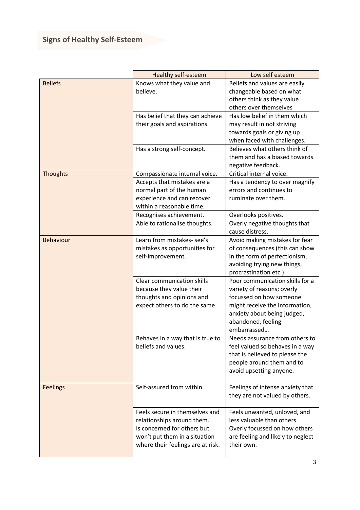|                  | <b>Healthy self-esteem</b>        | Low self esteem                                       |
|------------------|-----------------------------------|-------------------------------------------------------|
| <b>Beliefs</b>   | Knows what they value and         | Beliefs and values are easily                         |
|                  | believe.                          | changeable based on what                              |
|                  |                                   | others think as they value                            |
|                  |                                   | others over themselves                                |
|                  | Has belief that they can achieve  | Has low belief in them which                          |
|                  | their goals and aspirations.      | may result in not striving                            |
|                  |                                   | towards goals or giving up                            |
|                  |                                   | when faced with challenges.                           |
|                  | Has a strong self-concept.        | Believes what others think of                         |
|                  |                                   | them and has a biased towards                         |
|                  |                                   | negative feedback.                                    |
| <b>Thoughts</b>  | Compassionate internal voice.     | Critical internal voice.                              |
|                  | Accepts that mistakes are a       | Has a tendency to over magnify                        |
|                  | normal part of the human          | errors and continues to                               |
|                  | experience and can recover        | ruminate over them.                                   |
|                  | within a reasonable time.         |                                                       |
|                  | Recognises achievement.           | Overlooks positives.                                  |
|                  | Able to rationalise thoughts.     | Overly negative thoughts that                         |
|                  |                                   | cause distress.                                       |
| <b>Behaviour</b> | Learn from mistakes-see's         | Avoid making mistakes for fear                        |
|                  | mistakes as opportunities for     | of consequences (this can show                        |
|                  | self-improvement.                 | in the form of perfectionism,                         |
|                  |                                   | avoiding trying new things,<br>procrastination etc.). |
|                  | <b>Clear communication skills</b> | Poor communication skills for a                       |
|                  | because they value their          | variety of reasons; overly                            |
|                  | thoughts and opinions and         | focussed on how someone                               |
|                  | expect others to do the same.     | might receive the information,                        |
|                  |                                   | anxiety about being judged,                           |
|                  |                                   | abandoned, feeling                                    |
|                  |                                   | embarrassed                                           |
|                  | Behaves in a way that is true to  | Needs assurance from others to                        |
|                  | beliefs and values.               | feel valued so behaves in a way                       |
|                  |                                   | that is believed to please the                        |
|                  |                                   | people around them and to                             |
|                  |                                   | avoid upsetting anyone.                               |
|                  |                                   |                                                       |
| <b>Feelings</b>  | Self-assured from within.         | Feelings of intense anxiety that                      |
|                  |                                   | they are not valued by others.                        |
|                  |                                   |                                                       |
|                  | Feels secure in themselves and    | Feels unwanted, unloved, and                          |
|                  | relationships around them.        | less valuable than others.                            |
|                  | Is concerned for others but       | Overly focussed on how others                         |
|                  | won't put them in a situation     | are feeling and likely to neglect                     |
|                  | where their feelings are at risk. | their own.                                            |
|                  |                                   |                                                       |